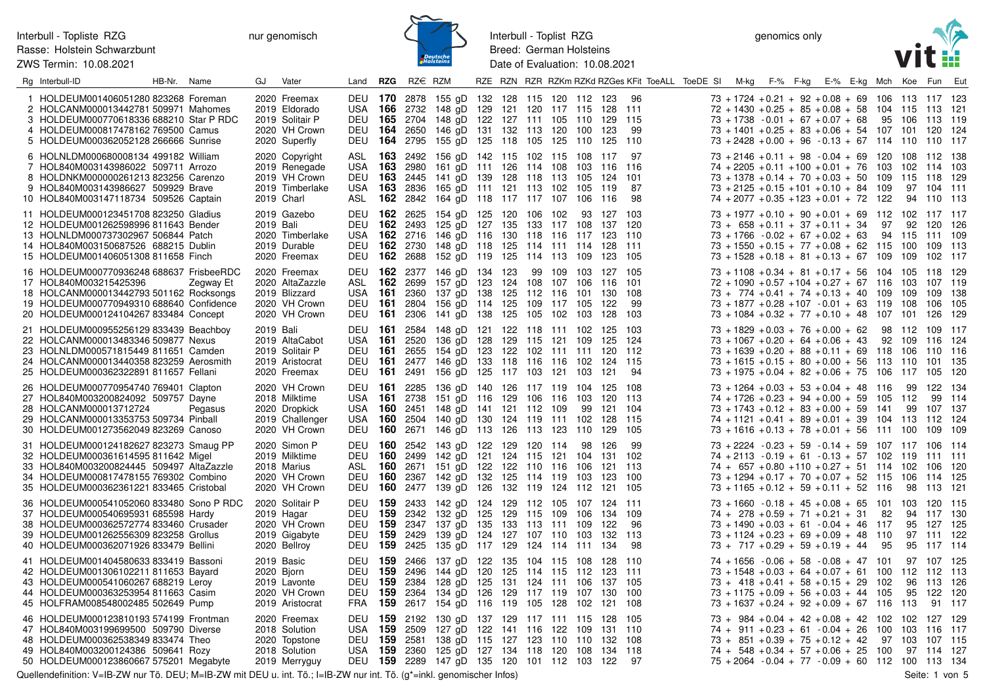ZWS Termin: 10.08.2021



Interbull - Toplist RZG Breed: German Holsteins Date of Evaluation: 10.08.2021

genomics only



| Rg Interbull-ID                                                                                                                                                                                               | HB-Nr. Name |           | GJ        | Vater                                                                               | Land <b>RZG</b>           |                | RZ€ RZM         |                                                                                                                                                                                                                                                            |  |  |                    |                                   | RZE RZN RZR RZKm RZKd RZGes KFit ToeALL ToeDE SI M-kg F-% F-kg E-% E-kg Mch Koe Fun Eut |                                                                                                                                                                                                                                                           |  |  |              |                     |                                                   |            |
|---------------------------------------------------------------------------------------------------------------------------------------------------------------------------------------------------------------|-------------|-----------|-----------|-------------------------------------------------------------------------------------|---------------------------|----------------|-----------------|------------------------------------------------------------------------------------------------------------------------------------------------------------------------------------------------------------------------------------------------------------|--|--|--------------------|-----------------------------------|-----------------------------------------------------------------------------------------|-----------------------------------------------------------------------------------------------------------------------------------------------------------------------------------------------------------------------------------------------------------|--|--|--------------|---------------------|---------------------------------------------------|------------|
| 1 HOLDEUM001406051280 823268 Foreman<br>2 HOLCANM000013442781 509971 Mahomes<br>3 HOLDEUM000770618336 688210 Star P RDC<br>4 HOLDEUM000817478162 769500 Camus<br>5 HOLDEUM000362052128 266666 Sunrise         |             |           |           | 2020 Freemax<br>2019 Eldorado<br>2019 Solitair P<br>2020 VH Crown<br>2020 Superfly  | DEU                       |                |                 | DEU 170 2878 155 gD 132 128 115 120 112 123 96<br>USA 166 2732 148 gD 129 121 120 117 115 128 111<br>DEU 165 2704 148 gD 122 127 111 105 110 129 115<br><b>164</b> 2650 146 gD 131 132 113 120 100 123<br>DEU 164 2795 155 gD 125 118 105 125 110          |  |  |                    | 125 110                           | 99                                                                                      | $73 + 1724 + 0.21 + 92 + 0.08 + 69$ 106 113 117 123<br>$72 + 1430 + 0.25 + 85 + 0.08 + 58$ 104 115 113 121<br>$73 + 1738 - 0.01 + 67 + 0.07 + 68$<br>$73 + 1401 + 0.25 + 83 + 0.06 + 54$ 107 101 120 124<br>$73 + 2428 + 0.00 + 96 - 0.13 + 67$ 114 110   |  |  | 95 106       |                     | 113 119<br>110 117                                |            |
| 6 HOLNLDM000680008134 499182 William<br>7 HOL840M003143986022 509711 Arrozo<br>8 HOLDNKM000000261213 823256 Carenzo<br>9 HOL840M003143986627 509929 Brave<br>10 HOL840M003147118734 509526 Captain            |             |           |           | 2020 Copyright<br>2019 Renegade<br>2019 VH Crown<br>2019 Timberlake<br>2019 Charl   | USA<br><b>DEU 163</b>     |                | <b>163</b> 2980 | ASL 163 2492 156 gD 142 115 102 115 108 117 97<br>161 gD 111 126 114 108 103 116 116<br>2445 141 gD 139 128 118 113 105 124 101<br>USA 163 2836 165 gD 111 121 113 102 105<br>ASL 162 2842 164 gD 118 117 117 107 106 116                                  |  |  |                    | 119                               | -87<br>98                                                                               | $73 + 2146 + 0.11 + 98 - 0.04 + 69$ 120 108<br>$74 + 2205 + 0.11 + 100 + 0.01 + 76$ 103<br>$73 + 1378 + 0.14 + 70 + 0.03 + 50$ 109 115 118 129<br>$73 + 2125 + 0.15 + 101 + 0.10 + 84$ 109<br>$74 + 2077 + 0.35 + 123 + 0.01 + 72$ 122                    |  |  |              | 97<br>94            | 112 138<br>102 114 103<br>104 111<br>110 113      |            |
| 11 HOLDEUM000123451708 823250 Gladius<br>12 HOLDEUM001262598996 811643 Bender<br>13 HOLNLDM000737302967 506844 Patch<br>14 HOL840M003150687526 688215 Dublin<br>15 HOLDEUM001406051308 811658 Finch           |             |           | 2019 Bali | 2019 Gazebo<br>2020 Timberlake<br>2019 Durable<br>2020 Freemax                      | USA.                      |                |                 | DEU 162 2625 154 gD 125 120 106 102<br>DEU 162 2493 125 gD 127 135 133 117 108 137 120<br><b>162</b> 2716 146 gD 116 130 118 116 117 123 110<br>DEU 162 2730 148 gD 118 125 114 111 114 128 111<br>DEU 162 2688 152 gD 119 125 114 113 109 123 105         |  |  |                    | 93 127 103                        |                                                                                         | $73 + 1977 + 0.10 + 90 + 0.01 + 69$ 112 102 117 117<br>$73 + 658 + 0.11 + 37 + 0.11 + 34$<br>$73 + 1766 - 0.02 + 67 + 0.02 + 63$<br>$73 + 1550 + 0.15 + 77 + 0.08 + 62$ 115 100<br>$73 + 1528 + 0.18 + 81 + 0.13 + 67$ 109 109 102 117                    |  |  | 97<br>94 115 | 92                  | 120 126<br>111 109<br>109 113                     |            |
| 16 HOLDEUM000770936248 688637 FrisbeeRDC<br>17 HOL840M003215425396<br>18 HOLCANM000013442793 501162 Rocksongs<br>19 HOLDEUM000770949310 688640 Confidence<br>20 HOLDEUM000124104267 833484 Concept            |             | Zegway Et |           | 2020 Freemax<br>2020 AltaZazzle<br>2019 Blizzard<br>2020 VH Crown<br>2020 VH Crown  | ASL<br>USA<br>DEU         | 162<br>161     | 2699            | DEU 162 2377 146 gD 134 123<br>157 gD 123 124 108 107 106<br>2360 137 gD 138 125 112 116 101 130 108<br>DEU 161 2804 156 gD 114 125 109 117 105<br><b>161</b> 2306 141 gD 138 125 105 102 103                                                              |  |  | 99 109 103 127 105 | 116<br>122<br>128                 | - 101<br>-99<br>103                                                                     | $73 + 1108 + 0.34 + 81 + 0.17 + 56$ 104 105<br>$72 + 1090 + 0.57 + 104 + 0.27 + 67$ 116<br>$73 + 774 + 0.41 + 74 + 0.13 + 40$ 109<br>$73 + 1877 + 0.28 + 107 - 0.01 + 63$ 119<br>$73 + 1084 + 0.32 + 77 + 0.10 + 48$ 107 101                              |  |  |              | 103<br>109<br>- 108 | 118 129<br>107 119<br>109 138<br>106<br>126       | 105<br>129 |
| 21 HOLDEUM000955256129 833439 Beachboy<br>22 HOLCANM000013483346 509877 Nexus<br>23 HOLNLDM000571815449 811651 Camden<br>24 HOLCANM000013440358 823259 Aerosmith<br>25 HOLDEUM000362322891 811657 Fellani     |             |           | 2019 Bali | 2019 AltaCabot<br>2019 Solitair P<br>2019 Aristocrat<br>2020 Freemax                | DEU 161<br>USA<br>DEU     | - 161          | 2520            | 2584 148 gD 121 122 118 111 102 125 103<br>136 gD 128 129 115 121 109<br>DEU 161 2655 154 gD 123 122 102 111 111 120 112<br><b>161</b> 2477 146 gD 133 118 116 116 102 124 115<br>DEU 161 2491 156 gD 125 117 103 121                                      |  |  | 103                | 125 124<br>121                    | 94                                                                                      | $73 + 1829 + 0.03 + 76 + 0.00 + 62$ 98 112<br>$73 + 1067 + 0.20 + 64 + 0.06 + 43$<br>$73 + 1639 + 0.20 + 88 + 0.11 + 69$ 118 106<br>$73 + 1615 + 0.15 + 80 + 0.00 + 56$ 113 110<br>$73 + 1975 + 0.04 + 82 + 0.06 + 75$ 106 117 105                        |  |  | 92           | 109                 | 109 117<br>116 124<br>110 116<br>101 135          | - 120      |
| 26 HOLDEUM000770954740 769401 Clapton<br>27 HOL840M003200824092 509757 Dayne<br>28 HOLCANM000013712724<br>29 HOLCANM000013353753 509734 Pinball<br>30 HOLDEUM001273562049 823269 Canoso                       |             | Pegasus   |           | 2020 VH Crown<br>2018 Milktime<br>2020 Dropkick<br>2019 Challenger<br>2020 VH Crown | DEU 161<br>USA<br>USA 160 |                |                 | 2285 136 gD 140 126 117 119 104 125 108<br>USA 161 2738 151 gD 116 129 106 116 103 120 113<br><b>160</b> 2451 148 gD 141 121 112 109<br>2504 140 gD 130 124 119 111 102 128 115<br>DEU 160 2671 146 gD 113 126 113 123 110 129 105                         |  |  | 99 121 104         |                                   |                                                                                         | $73 + 1264 + 0.03 + 53 + 0.04 + 48$ 116<br>$74 + 1726 + 0.23 + 94 + 0.00 + 59$ 105<br>$73 + 1743 + 0.12 + 83 + 0.00 + 59$ 141<br>$74 + 1121 + 0.41 + 89 + 0.01 + 39$ 104 113<br>$73 + 1616 + 0.13 + 78 + 0.01 + 56$ 111 100                               |  |  |              | 99<br>112<br>99     | 122 134<br>99 114<br>107 137<br>112 124<br>109    | - 109      |
| 31 HOLDEUM000124182627 823273 Smaug PP<br>32 HOLDEUM000361614595 811642 Migel<br>33 HOL840M003200824445 509497 AltaZazzle<br>34 HOLDEUM000817478155 769302 Combino<br>35 HOLDEUM000362361221 833465 Cristobal |             |           |           | 2020 Simon P<br>2019 Milktime<br>2018 Marius<br>2020 VH Crown<br>2020 VH Crown      | ASL<br>DEU<br>DEU         | 160            |                 | DEU 160 2542 143 gD 122 129 120 114<br>DEU 160 2499 142 gD 121 124 115 121 104 131 102<br><b>160</b> 2671 151 gD 122 122 110 116 106<br>2367 142 gD 132 125 114 119 103<br>160 2477 139 gD 126 132 119 124 112 121 105                                     |  |  |                    | 98 126<br>121 113<br>123 100      | -99                                                                                     | 73 + 2224 - 0.23 + 59 - 0.14 + 59 107 117 106 114<br>$74 + 2113 - 0.19 + 61 - 0.13 + 57$ 102 119<br>$74 + 657 + 0.80 + 110 + 0.27 + 51$ 114 102<br>$73 + 1294 + 0.17 + 70 + 0.07 + 52$ 115<br>$73 + 1165 + 0.12 + 59 + 0.11 + 52$ 116                     |  |  |              | 106<br>98           | 111 111<br>106 120<br>114<br>113 121              | 125        |
| 36 HOLDEUM000541052060 833480 Sono P RDC<br>37 HOLDEUM000540695931 685598 Hardy<br>38 HOLDEUM000362572774 833460 Crusader<br>39 HOLDEUM001262556309 823258 Grollus<br>40 HOLDEUM000362071926 833479 Bellini   |             |           |           | 2020 Solitair P<br>2019 Hagar<br>2020 VH Crown<br>2019 Gigabyte<br>2020 Bellroy     | DEU<br><b>DEU 159</b>     | DEU 159<br>159 |                 | 2433 142 gD 124 129 112 105 107 124 111<br>2342 132 gD 125 129 115 109 106<br>DEU 159 2347 137 gD 135 133 113 111 109<br>2429 139 gD 124 127 107 110 103<br>DEU 159 2425 135 gD 117 129 124 114 111                                                        |  |  |                    | 134 109<br>122<br>132 113<br>-134 | 96<br>98                                                                                | $73 + 1660 - 0.18 + 45 + 0.08 + 65$ 101 103 120 115<br>$74 + 278 + 0.59 + 71 + 0.21 + 31$<br>$73 + 1490 + 0.03 + 61 - 0.04 + 46$ 117<br>$73 + 1124 + 0.23 + 69 + 0.09 + 48$ 110<br>$73 + 717 + 0.29 + 59 + 0.19 + 44$                                     |  |  | 82<br>95     | 95                  | 94 117 130<br>95 127 125<br>97 111 122<br>117 114 |            |
| 41 HOLDEUM001404580633 833419 Bassoni<br>42 HOLDEUM001306102211 811653 Bayard<br>43 HOLDEUM000541060267 688219 Leroy<br>44 HOLDEUM000363253954 811663 Casim<br>45 HOLFRAM008548002485 502649 Pump             |             |           |           | 2019 Basic<br>2020 Bjorn<br>2019 Lavonte<br>2020 VH Crown<br>2019 Aristocrat        | DEU 159                   |                |                 | DEU 159 2466 137 gD 122 135 104 115 108 128 110<br>DEU 159 2496 144 qD 120 125 114 115 112 123 111<br>2384 128 gD 125 131 124 111 106<br>DEU 159 2364 134 gD 126 129 117 119 107<br>FRA 159 2617 154 gD 116 119 105 128 102 121 108                        |  |  |                    | 137 105<br>130 100                |                                                                                         | $74 + 1656 - 0.06 + 58 - 0.08 + 47$ 101<br>$73 + 1548 + 0.03 + 64 + 0.07 + 61$ 100 112 112 113<br>$73 + 418 + 0.41 + 58 + 0.15 + 29$ 102<br>$73 + 1175 + 0.09 + 56 + 0.03 + 44$ 105<br>$73 + 1637 + 0.24 + 92 + 0.09 + 67$ 116 113                        |  |  |              | 95                  | 97 107 125<br>96 113 126<br>122 120<br>91 117     |            |
| 46 HOLDEUM000123810193 574199 Frontman<br>47 HOL840M003199699500 509790 Diverse<br>48 HOLDEUM000362538349 833474 Theo<br>49 HOL840M003200124386 509641 Rozy<br>50 HOLDEUM000123860667 575201 Megabyte         |             |           |           | 2020 Freemax<br>2018 Solution<br>2020 Topstone<br>2018 Solution<br>2019 Merryguy    |                           |                |                 | DEU 159 2192 130 gD 137 129 117 111 115 128 105<br>USA 159 2509 127 gD 122 141 116 122 109 131 110<br>DEU 159 2581 138 gD 115 127 123 110 110 132 108<br>USA 159 2360 125 gD 127 134 118 120 108 134 118<br>DEU 159 2289 147 gD 135 120 101 112 103 122 97 |  |  |                    |                                   |                                                                                         | $73 + 984 + 0.04 + 42 + 0.08 + 42$ 102 102<br>$74 + 911 + 0.23 + 61 - 0.04 + 26$ 100 103 116 117<br>$73 + 851 + 0.39 + 75 + 0.12 + 42$ 97 103<br>$74 + 548 + 0.34 + 57 + 0.06 + 25$ 100 97 114 127<br>$75 + 2064 - 0.04 + 77 - 0.09 + 60$ 112 100 113 134 |  |  |              |                     | 127 129<br>107 115                                |            |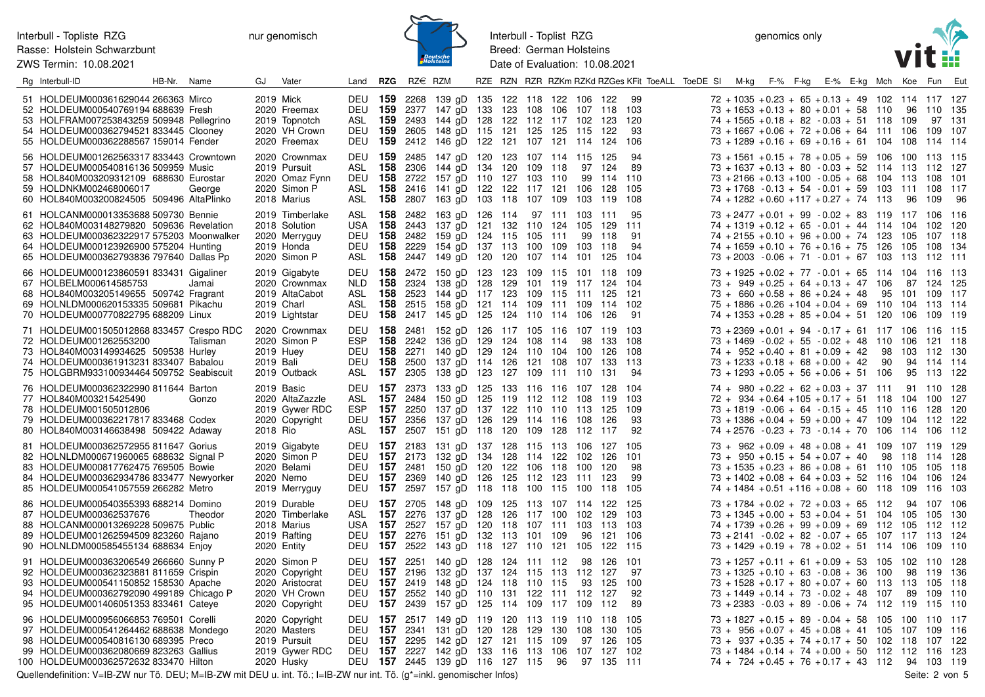ZWS Termin: 10.08.2021



Interbull - Toplist RZG Breed: German Holsteins Date of Evaluation: 10.08.2021

genomics only



| Rg Interbull-ID                                                                                                                                                                                                  | HB-Nr. Name |          | GJ        | Vater                                                                                | Land <b>RZG</b>                          | RZ€ RZM                                            |                                                                                                                                                                                                                           |  |         |    |                  |                                           | RZE RZN RZR RZKm RZKd RZGes KFit ToeALL ToeDE SI | M-kg F-% F-kg E-% E-kg Mch Koe Fun Eut                                                                                                                                                                                                                                          |  |  |                |                          |        |      |
|------------------------------------------------------------------------------------------------------------------------------------------------------------------------------------------------------------------|-------------|----------|-----------|--------------------------------------------------------------------------------------|------------------------------------------|----------------------------------------------------|---------------------------------------------------------------------------------------------------------------------------------------------------------------------------------------------------------------------------|--|---------|----|------------------|-------------------------------------------|--------------------------------------------------|---------------------------------------------------------------------------------------------------------------------------------------------------------------------------------------------------------------------------------------------------------------------------------|--|--|----------------|--------------------------|--------|------|
| 51 HOLDEUM000361629044 266363 Mirco<br>52 HOLDEUM000540769194 688639 Fresh<br>53 HOLFRAM007253843259 509948 Pellegrino<br>54 HOLDEUM000362794521 833445 Clooney<br>55 HOLDEUM000362288567 159014 Fender          |             |          |           | 2019 Mick<br>2020 Freemax<br>2019 Topnotch<br>2020 VH Crown<br>2020 Freemax          | ASL<br>DEU                               | DEU 159 2268                                       | 139 gD 135 122 118 122 106 122<br>DEU 159 2377 147 gD 133 123 108 106 107 118 103<br><b>159</b> 2493 144 gD 128 122 112 117 102<br><b>159</b> 2605 148 gD 115 121 125 125 115<br>DEU 159 2412 146 gD 122 121 107 121 114  |  |         |    |                  | 123<br>122<br>124                         | - 99<br>120<br>93<br>106                         | $72 + 1035 + 0.23 + 65 + 0.13 + 49$ 102 114 117 127<br>$73 + 1653 + 0.13 + 80 + 0.01 + 58$ 110 96 110 135<br>$74 + 1565 + 0.18 + 82 - 0.03 + 51$ 118 109<br>$73 + 1667 + 0.06 + 72 + 0.06 + 64$ 111 106 109 107<br>$73 + 1289 + 0.16 + 69 + 0.16 + 61$ 104 108 114 114          |  |  |                |                          | 97 131 |      |
| 56 HOLDEUM001262563317 833443 Crowntown<br>57 HOLDEUM000540816136 509959 Music<br>58 HOL840M003209312109 688630 Eurostar<br>59 HOLDNKM002468006017<br>60 HOL840M003200824505 509496 AltaPlinko                   |             | George   |           | 2020 Crownmax<br>2019 Pursuit<br>2020 Omaz Fynn<br>2020 Simon P<br>2018 Marius       | DEU<br>ASL<br><b>DEU</b><br>ASL          | <b>159</b> 2485                                    | 147 gD 120 123 107 114 115<br><b>158</b> 2306 144 gD 134 120 109 118<br>158 2722 157 qD 110 127 103 110<br><b>158</b> 2416 141 gD 122 122 117 121 106<br>ASL 158 2807 163 gD 103 118 107 109                              |  |         |    | 97<br>99<br>103  | 125<br>-124<br>114<br>128<br>119          | 94<br>89<br>110<br>105<br>108                    | $73 + 1561 + 0.15 + 78 + 0.05 + 59$ 106 100 113 115<br>73 + 1637 + 0.13 + 80 - 0.03 + 52 114 113 112 127<br>$73 + 2166 + 0.13 + 100 - 0.05 + 68$ 104 113 108 101<br>$73 + 1768 - 0.13 + 54 - 0.01 + 59$ 103 111 108 117<br>$74 + 1282 + 0.60 + 117 + 0.27 + 74$ 113             |  |  |                | - 96                     | 109    | - 96 |
| 61 HOLCANM000013353688 509730 Bennie<br>62 HOL840M003148279820 509636 Revelation<br>63 HOLDEUM000362322917 575203 Moonwalker<br>64 HOLDEUM000123926900 575204 Hunting<br>65 HOLDEUM000362793836 797640 Dallas Pp |             |          |           | 2019 Timberlake<br>2018 Solution<br>2020 Merryguy<br>2019 Honda<br>2020 Simon P      | DEU                                      |                                                    | ASL 158 2482 163 gD 126 114 97 111 103 111<br>USA 158 2443 137 gD 121 132 110 124 105<br><b>158</b> 2482 159 gD 124 115 105 111<br>DEU 158 2229 154 gD 137 113 100 109<br>ASL 158 2447 149 gD 120 120 107 114 101 125 104 |  |         |    | 99<br>103        | 129 111<br>118<br>118                     | -95<br>91<br>94                                  | $73 + 2477 + 0.01 + 99 - 0.02 + 83$ 119 117 106 116<br>$74 + 1319 + 0.12 + 65 - 0.01 + 44$ 114 104 102 120<br>$74 + 2155 + 0.10 + 96 + 0.00 + 74$ 123 105 107 118<br>$74 + 1659 + 0.10 + 76 + 0.16 + 75$ 126 105 108 134<br>$73 + 2003 - 0.06 + 71 - 0.01 + 67$ 103 113 112 111 |  |  |                |                          |        |      |
| 66 HOLDEUM000123860591 833431 Gigaliner<br>67 HOLBELM000614585753<br>68 HOL840M003205149655 509742 Fragrant<br>69 HOLNLDM000620153335 509681 Pikachu<br>70 HOLDEUM000770822795 688209 Linux                      |             | Jamai    |           | 2019 Gigabyte<br>2020 Crownmax<br>2019 AltaCabot<br>2019 Charl<br>2019 Lightstar     | NLD<br>ASL <b>158</b> 2523<br>ASL<br>DEU | <b>158</b> 2324                                    | DEU 158 2472 150 gD 123 123 109 115 101 118 109<br>138 gD 128 129<br>144 gD 117 123 109 115<br><b>158</b> 2515 158 gD 121 114 109 111 109<br><b>158</b> 2417 145 gD 125 124 110 114 106                                   |  | 101 119 |    | 111              | 117 124<br>125 121<br>114 102<br>126      | 104<br>91                                        | $73 + 1925 + 0.02 + 77 - 0.01 + 65$ 114 104 116 113<br>73 + 949 + 0.25 + 64 + 0.13 + 47 106 87 124 125<br>$73 + 660 + 0.58 + 86 + 0.24 + 48$<br>$75 + 1886 + 0.26 + 104 + 0.04 + 69$ 110 104 113 114<br>$74 + 1353 + 0.28 + 85 + 0.04 + 51$ 120 106 109 119                     |  |  | 95 101 109 117 |                          |        |      |
| 71 HOLDEUM001505012868 833457 Crespo RDC<br>72 HOLDEUM001262553200<br>73 HOL840M003149934625 509538 Hurley<br>74 HOLDEUM000361913231 833407 Babalou<br>75 HOLGBRM933100934464 509752 Seabiscuit                  |             | Talisman | 2019 Bali | 2020 Crownmax<br>2020 Simon P<br>2019 Huey<br>2019 Outback                           | DEU<br>ESP<br>DEU<br>ASL                 | <b>158</b> 2481<br><b>157</b> 2305                 | 152 gD 126 117 105 116<br><b>158</b> 2242 136 gD 129 124 108 114<br>DEU 158 2271 140 gD 129 124 110 104 100<br>158 2500 137 gD 114 126 121 108<br>138 gD 123 127 109 111 110                                              |  |         |    | 98<br>107        | 107 119<br>133 108<br>- 126<br>133<br>131 | - 103<br>108<br>113<br>94                        | $73 + 2369 + 0.01 + 94 - 0.17 + 61$ 117 106 116 115<br>$73 + 1469 - 0.02 + 55 - 0.02 + 48$ 110 106 121 118<br>$74 + 952 + 0.40 + 81 + 0.09 + 42$ 98 103 112 130<br>$73 + 1233 + 0.18 + 68 + 0.00 + 42$ 90<br>$73 + 1293 + 0.05 + 56 + 0.06 + 51$ 106                            |  |  |                | 94 114 114<br>95 113 122 |        |      |
| 76 HOLDEUM000362322990 811644 Barton<br>77 HOL840M003215425490<br>78 HOLDEUM001505012806<br>79 HOLDEUM000362217817 833468 Codex<br>80 HOL840M003146638498 509422 Adaway                                          |             | Gonzo    | 2018 Rio  | 2019 Basic<br>2020 AltaZazzle<br>2019 Gywer RDC<br>2020 Copyright                    | ASL<br>ESP                               | <b>157</b> 2250                                    | DEU 157 2373 133 gD 125 133 116 116 107 128 104<br><b>157</b> 2484 150 gD 125 119 112 112 108<br>137 gD 137 122 110 110 113<br>DEU 157 2356 137 gD 126 129 114 116<br>ASL 157 2507 151 gD 118 120 109 128 112             |  |         |    | 108              | 119<br>125<br>126<br>117                  | 103<br>109<br>93<br>-92                          | $74 + 980 + 0.22 + 62 + 0.03 + 37$ 111 91 110 128<br>$72 + 934 + 0.64 + 105 + 0.17 + 51$ 118 104 100 127<br>$73 + 1819 - 0.06 + 64 - 0.15 + 45$ 110 116 128 120<br>$73 + 1386 + 0.04 + 59 + 0.00 + 47$ 109 104 112 122<br>$74 + 2576 - 0.23 + 73 - 0.14 + 70$ 106 114 106 112   |  |  |                |                          |        |      |
| 81 HOLDEUM000362572955 811647 Gorius<br>82 HOLNLDM000671960065 688632 Signal P<br>83 HOLDEUM000817762475 769505 Bowie<br>84 HOLDEUM000362934786 833477 Newyorker<br>85 HOLDEUM000541057559 266282 Metro          |             |          |           | 2019 Gigabyte<br>2020 Simon P<br>2020 Belami<br>2020 Nemo<br>2019 Merryguy           | DEU<br>DEU<br>DEU<br>DEU                 | <b>157</b> 2183<br><b>157</b> 2369                 | 131 gD 137 128 115 113 106<br><b>157</b> 2173 132 gD 134 128 114 122 102<br>DEU 157 2481 150 gD 120 122 106 118<br>140 gD 126 125 112 123<br><b>157</b> 2597 157 gD 118 118 100 115 100                                   |  |         |    | 100<br>111       | 127 105<br>126<br>120<br>123<br>118       | 101<br>98<br>99<br>105                           | $73 + 962 + 0.09 + 48 + 0.08 + 41$ 109 107 119 129<br>$73 + 950 + 0.15 + 54 + 0.07 + 40$ 98 118 114 128<br>$73 + 1535 + 0.23 + 86 + 0.08 + 61$ 110 105 105 118<br>$73 + 1402 + 0.08 + 64 + 0.03 + 52$ 116 104 106 124<br>$74 + 1484 + 0.51 + 116 + 0.08 + 60$ 118 109 116 103   |  |  |                |                          |        |      |
| 86 HOLDEUM000540355393 688214 Domino<br>87 HOLDEUM000362537676<br>88 HOLCANM000013269228 509675 Public<br>89 HOLDEUM001262594509 823260 Rajano<br>90 HOLNLDM000585455134 688634 Enjoy                            |             | Theodor  |           | 2019 Durable<br>2020 Timberlake<br>2018 Marius<br>2019 Rafting<br>2020 Entity        | ASL<br>DEU<br>DEU                        | USA 157 2527<br><b>157</b> 2276<br><b>157</b> 2522 | DEU 157 2705 148 gD 109 125 113 107 114 122 125<br><b>157</b> 2276 137 gD 128 126 117 100<br>157 gD 120 118 107 111<br>151 gD 132 113 101 109<br>143 gD 118 127 110 121 105                                               |  |         |    | 102<br>103<br>96 | 129<br>113<br>121<br>122                  | 103<br>103<br>106<br>115                         | $73 + 1784 + 0.02 + 72 + 0.03 + 65$ 112 94 107 106<br>$73 + 1345 + 0.00 + 53 + 0.04 + 51$ 104 105 105 130<br>$74 + 1739 + 0.26 + 99 + 0.09 + 69$ 112 105 112 112<br>$73 + 2141 - 0.02 + 82 - 0.07 + 65$ 107 117 113 124<br>$73 + 1429 + 0.19 + 78 + 0.02 + 51$ 114 106 109 110  |  |  |                |                          |        |      |
| 91 HOLDEUM000363206549 266660 Sunny P<br>92 HOLDEUM000362323881 811659 Crispin<br>93 HOLDEUM000541150852 158530 Apache<br>94 HOLDEUM000362792090 499189 Chicago P<br>95 HOLDEUM001406051353 833461 Cateye        |             |          |           | 2020 Simon P<br>2020 Copyright<br>2020 Aristocrat<br>2020 VH Crown<br>2020 Copyright | <b>DEU</b><br>DEU                        | DEU 157 2196                                       | <b>157</b> 2251 140 gD 128 124 111 112<br>132 gD 137 124 115 113<br>DEU 157 2419 148 gD 124 118 110 115<br><b>157</b> 2552 140 gD 110 131 122 111 112<br>DEU 157 2439 157 gD 125 114 109 117 109                          |  |         |    | 98<br>112<br>93  | 126<br>127<br>125<br>127<br>112           | 101<br>97<br>100<br>92<br>89                     | $73 + 1257 + 0.11 + 61 + 0.09 + 53$ 105 102 110 128<br>$73 + 1325 + 0.10 + 63 - 0.08 + 36$ 100<br>$73 + 1528 + 0.17 + 80 + 0.07 + 60$ 113 113 105 118<br>$73 + 1449 + 0.14 + 73 - 0.02 + 48$ 107 89 109 110<br>$73 + 2383 - 0.03 + 89 - 0.06 + 74$ 112 119 115 110              |  |  |                | 98 119 136               |        |      |
| 96 HOLDEUM000956066853 769501 Corelli<br>97 HOLDEUM000541264462 688638 Mondego<br>98 HOLDEUM000540816130 689395 Preco<br>99 HOLDEUM000362080669 823263 Gallius<br>100 HOLDEUM000362572632 833470 Hilton          |             |          |           | 2020 Copyright<br>2020 Masters<br>2019 Pursuit<br>2019 Gywer RDC<br>2020 Husky       | DEU                                      | <b>157</b> 2295                                    | DEU 157 2517 149 gD 119 120 113 119 110 118 105<br>DEU 157 2341 131 gD 120 128 129 130 108<br>142 gD 127 121 115 109<br>DEU 157 2227 142 gD 133 116 113 106 107 127 102<br>DEU 157 2445 139 gD 116 127 115                |  |         | 96 |                  | 130<br>97 126<br>97 135 111               | 105<br>105                                       | $73 + 1827 + 0.15 + 89 - 0.04 + 58$ 105 100 110 117<br>$73 + 956 + 0.07 + 45 + 0.08 + 41$ 105 107 109 116<br>$73 + 937 + 0.35 + 74 + 0.17 + 50$ 102 118 107 122<br>$73 + 1484 + 0.14 + 74 + 0.00 + 50$ 112 112 116 123<br>$74 + 724 + 0.45 + 76 + 0.17 + 43$ 112 94 103 119     |  |  |                |                          |        |      |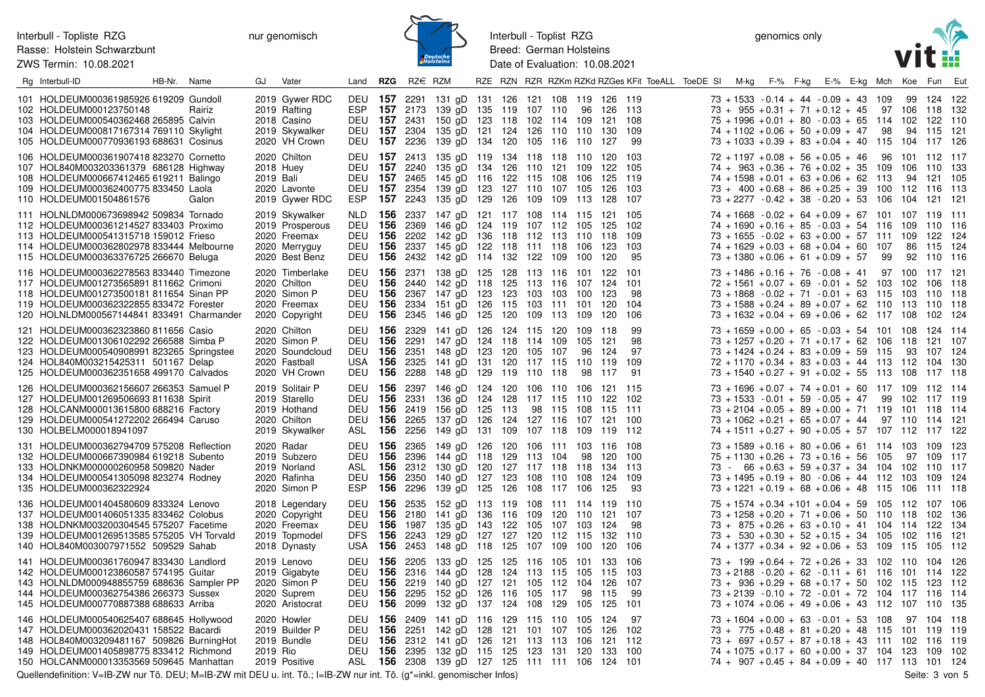## Interbull - Topliste RZG Rasse: Holstein Schwarzbunt ZWS Termin: 10.08.2021

nur genomisch



Interbull - Toplist RZG Breed: German Holsteins Date of Evaluation: 10.08.2021

genomics only



| Rg Interbull-ID                                                                                                                                                                                                        | HB-Nr. Name | GJ        | Vater                                                                                | Land <b>RZG</b>                               |                         | $RZ \in RZM$                                                      |                                                                                                                                                                                                                                                           |  |  |                    |                       | RZE RZN RZR RZKm RZKd RZGes KFit ToeALL ToeDE SI M-kg F-% F-kg E-% E-kg Mch Koe Fun Eut |                                                                                                                                                                                                                                                                               |  |  |      |                        |                          |       |
|------------------------------------------------------------------------------------------------------------------------------------------------------------------------------------------------------------------------|-------------|-----------|--------------------------------------------------------------------------------------|-----------------------------------------------|-------------------------|-------------------------------------------------------------------|-----------------------------------------------------------------------------------------------------------------------------------------------------------------------------------------------------------------------------------------------------------|--|--|--------------------|-----------------------|-----------------------------------------------------------------------------------------|-------------------------------------------------------------------------------------------------------------------------------------------------------------------------------------------------------------------------------------------------------------------------------|--|--|------|------------------------|--------------------------|-------|
| 101 HOLDEUM000361985926 619209 Gundoll<br>102 HOLDEUM000123750148<br>103 HOLDEUM000540362468 265895 Calvin<br>104 HOLDEUM000817167314 769110 Skylight<br>105 HOLDEUM000770936193 688631 Cosinus                        | Rairiz      |           | 2019 Gywer RDC<br>2019 Rafting<br>2018 Casino<br>2019 Skywalker<br>2020 VH Crown     | ESP<br>DEU<br><b>DEU 157</b>                  |                         | 2236                                                              | DEU 157 2291 131 gD 131 126 121 108 119 126 119<br><b>157</b> 2173 139 gD 135 119 107 110<br>DEU 157 2431 150 gD 123 118 102 114 109 121 108<br><b>157</b> 2304 135 gD 121 124 126 110 110 130 109<br>139 gD 134 120 105 116 110                          |  |  |                    | 96 126 113<br>127     | 99                                                                                      | $73 + 1533 - 0.14 + 44 - 0.09 + 43$ 109<br>$73 + 955 + 0.31 + 71 + 0.12 + 45$ 97 106 118 132<br>$75 + 1996 + 0.01 + 80 - 0.03 + 65$ 114 102 122 110<br>$74 + 1102 + 0.06 + 50 + 0.09 + 47$<br>$73 + 1033 + 0.39 + 83 + 0.04 + 40$ 115 104 117 126                             |  |  | 98   |                        | 99 124 122<br>94 115 121 |       |
| 106 HOLDEUM000361907418 823270 Cornetto<br>107 HOL840M003203361379 686128 Highway<br>108 HOLDEUM000667412465 619211 Balingo<br>109 HOLDEUM000362400775 833450 Laola<br>110 HOLDEUM001504861576                         | Galon       | 2019 Bali | 2020 Chilton<br>2018 Huey<br>2020 Lavonte<br>2019 Gywer RDC                          | DEU<br><b>DEU</b><br>DEU<br>DEU<br>ESP        |                         | <b>157</b> 2413<br>157 2240<br><b>157</b> 2465<br><b>157</b> 2243 | 135 gD 119 134 118 118 110 120 103<br>135 gD 134 126 110 121 109 122<br>145 gD 116 122 115 108 106 125<br><b>157</b> 2354 139 gD 123 127 110 107 105 126<br>135 gD 129 126 109 109 113 128                                                                |  |  |                    |                       | - 105<br>119<br>- 103<br>107                                                            | $72 + 1197 + 0.08 + 56 + 0.05 + 46$<br>$74 + 963 + 0.36 + 76 + 0.02 + 35$ 109 106 110 133<br>$74 + 1598 + 0.01 + 63 + 0.06 + 62$ 113<br>$73 + 400 + 0.68 + 86 + 0.25 + 39$ 100 112 116 113<br>$73 + 2277 - 0.42 + 38 - 0.20 + 53$ 106                                         |  |  | - 96 | 101 112 117<br>104 121 | 94 121 105               | - 121 |
| 111 HOLNLDM000673698942 509834 Tornado<br>112 HOLDEUM000361214527 833403 Proximo<br>113 HOLDEUM000541315718 159012 Frieso<br>114 HOLDEUM000362802978 833444 Melbourne<br>115 HOLDEUM000363376725 266670 Beluga         |             |           | 2019 Skywalker<br>2019 Prosperous<br>2020 Freemax<br>2020 Merryguy<br>2020 Best Benz | DEU                                           | 156                     | DEU 156 2369<br>2202                                              | NLD 156 2337 147 gD 121 117 108 114 115 121 105<br>146 gD 124 119 107 112 105 125 102<br>142 gD 136 118 112 113 110 118<br>DEU 156 2337 145 gD 122 118 111 118 106 123<br>DEU 156 2432 142 gD 114 132 122 109 100 120                                     |  |  |                    |                       | 109<br>103<br>-95                                                                       | $74 + 1668 - 0.02 + 64 + 0.09 + 67$ 101 107 119 111<br>$74 + 1690 + 0.16 + 85 - 0.03 + 54$ 116 109 110 116<br>$73 + 1655 - 0.02 + 63 + 0.00 + 57$ 111 109 122 124<br>$74 + 1629 + 0.03 + 68 + 0.04 + 60$ 107<br>$73 + 1380 + 0.06 + 61 + 0.09 + 57$ 99                        |  |  |      |                        | 86 115 124<br>92 110 116 |       |
| 116 HOLDEUM000362278563 833440 Timezone<br>117 HOLDEUM001273565891 811662 Crimoni<br>118 HOLDEUM001273500181 811654 Sinan PP<br>119 HOLDEUM000362322855 833472 Forester<br>120 HOLNLDM000567144841 833491 Charmander   |             |           | 2020 Timberlake<br>2020 Chilton<br>2020 Simon P<br>2020 Freemax<br>2020 Copyright    | <b>DEU</b><br>DEU<br><b>DEU 156</b><br>DEU    | <b>DEU 156</b><br>156   | 2440                                                              | 2371 138 gD 125 128 113 116 101 122<br>142 gD 118 125 113 116 107 124 101<br><b>156</b> 2367 147 gD 123 123 103 103 100<br>2334 151 gD 126 115 103 111 101<br><b>156</b> 2345 146 gD 125 120 109 113 109                                                  |  |  |                    | 123<br>120<br>120     | - 101<br>-98<br>104<br>106                                                              | $73 + 1486 + 0.16 + 76 - 0.08 + 41$ 97 100 117 121<br>$72 + 1561 + 0.07 + 69 - 0.01 + 52$ 103 102 106 118<br>$73 + 1868 - 0.02 + 71 - 0.01 + 63$ 115 103 110 118<br>$73 + 1588 + 0.24 + 89 + 0.07 + 62$ 110 113 110 118<br>$73 + 1632 + 0.04 + 69 + 0.06 + 62$ 117 108        |  |  |      |                        | 102 124                  |       |
| 121 HOLDEUM000362323860 811656 Casio<br>122 HOLDEUM001306102292 266588 Simba P<br>123 HOLDEUM000540908991 823265 Springstee<br>124 HOL840M003215425311 501167 Delap<br>125 HOLDEUM000362351658 499170 Calvados         |             |           | 2020 Chilton<br>2020 Simon P<br>2020 Soundcloud<br>2020 Fastball<br>2020 VH Crown    | DEU<br>DEU<br>DEU                             | 156                     | <b>156</b> 2329<br><b>156</b> 2291<br>USA <b>156</b> 2325<br>2288 | 141 gD 126 124 115 120 109 118<br>147 gD 124 118 114 109 105 121<br>DEU 156 2351 148 gD 123 120 105 107<br>141 gD 131 120 117 115 110 119<br>148 gD 129 119 110 118                                                                                       |  |  | 98                 | 96 124<br>117         | 99<br>98<br>97<br>109<br>-91                                                            | $73 + 1659 + 0.00 + 65 - 0.03 + 54$ 101 108 124 114<br>$73 + 1257 + 0.20 + 71 + 0.17 + 62$ 106 118 121 107<br>$73 + 1424 + 0.24 + 83 + 0.09 + 59$ 115<br>$72 + 1170 + 0.34 + 83 + 0.03 + 44$ 113 112 104 130<br>$73 + 1540 + 0.27 + 91 + 0.02 + 55$ 113 108 117 118           |  |  |      |                        | 93 107 124               |       |
| 126 HOLDEUM000362156607 266353 Samuel P<br>127 HOLDEUM001269506693 811638 Spirit<br>128 HOLCANM000013615800 688216 Factory<br>129 HOLDEUM000541272202 266494 Caruso<br>130 HOLBELM000018941097                         |             |           | 2019 Solitair P<br>2019 Starello<br>2019 Hothand<br>2020 Chilton<br>2019 Skywalker   | DEU<br>DEU                                    | 156<br><b>DEU 156</b>   | <b>156</b> 2419                                                   | DEU 156 2397 146 gD 124 120 106 110 106 121 115<br>2331 136 gD 124 128 117 115 110 122 102<br>156 gD 125 113<br>2265 137 gD 126 124 127 116 107 121 100<br>ASL 156 2256 149 gD 131 109 107 118 109 119 112                                                |  |  | 98 115 108 115 111 |                       |                                                                                         | $73 + 1696 + 0.07 + 74 + 0.01 + 60$ 117 109 112 114<br>$73 + 1533 - 0.01 + 59 - 0.05 + 47$ 99 102 117 119<br>$73 + 2104 + 0.05 + 89 + 0.00 + 71$ 119 101 118 114<br>$73 + 1062 + 0.21 + 65 + 0.07 + 44$ 97 110 114 121<br>$74 + 1511 + 0.27 + 90 + 0.05 + 57$ 107 112 117 122 |  |  |      |                        |                          |       |
| 131 HOLDEUM000362794709 575208 Reflection<br>132 HOLDEUM000667390984 619218 Subento<br>133 HOLDNKM000000260958 509820 Nader<br>134 HOLDEUM000541305098 823274 Rodney<br>135 HOLDEUM000362322924                        |             |           | 2020 Radar<br>2019 Subzero<br>2019 Norland<br>2020 Rafinha<br>2020 Simon P           | DEU<br><b>DEU</b><br>ASL<br>DEU<br><b>ESP</b> | 156<br>156              | <b>156</b> 2365<br><b>156</b> 2396<br><b>156</b> 2350<br>2296     | 149 gD 126 120 106 111 103 116 108<br>144 gD 118 129 113 104<br>2312 130 gD 120 127 117 118 118 134 113<br>140 qD 127 123 108 110 108<br>139 gD 125 126 108 117 106 125                                                                                   |  |  |                    | 98 120 100<br>124 109 | -93                                                                                     | $73 + 1589 + 0.16 + 80 + 0.06 + 61$ 114 103 109 123<br>$75 + 1130 + 0.26 + 73 + 0.16 + 56$ 105<br>$73 - 66 + 0.63 + 59 + 0.37 + 34$ 104 102 110 117<br>$73 + 1495 + 0.19 + 80 - 0.06 + 44$ 112 103 109 124<br>73 + 1221 + 0.19 + 68 + 0.06 + 48 115 106 111 118               |  |  |      |                        | 97 109 117               |       |
| 136 HOLDEUM001404580609 833324 Lenovo<br>137 HOLDEUM001406051335 833462 Colobus<br>138 HOLDNKM003200304545 575207 Facetime<br>139 HOLDEUM001269513585 575205 VH Torvald<br>140 HOL840M003007971552 509529 Sahab        |             |           | 2018 Legendary<br>2020 Copyright<br>2020 Freemax<br>2019 Topmodel<br>2018 Dynasty    | DEU<br>DEU<br><b>DFS</b>                      | - 156<br>USA <b>156</b> | DEU 156 2535<br>2180<br><b>156</b> 1987<br>2453                   | 152 gD 113 119 108 111 114 119 110<br>141 gD 136 116 109 120 110 121 107<br>135 gD 143 122 105 107 103 124<br><b>156</b> 2243 129 gD 127 127 120 112 115 132 110<br>148 gD 118 125 107 109 100                                                            |  |  |                    | 120                   | -98<br>106                                                                              | 75 + 1574 + 0.34 + 101 + 0.04 + 59 105 112 107 106<br>$73 + 1258 + 0.20 + 71 + 0.06 + 50$ 110 118 102 136<br>$73 + 875 + 0.26 + 63 + 0.10 + 41$ 104 114 122 134<br>$73 + 530 + 0.30 + 52 + 0.15 + 34$ 105 102 116 121<br>$74 + 1377 + 0.34 + 92 + 0.06 + 53$ 109 115 105 112  |  |  |      |                        |                          |       |
| 141 HOLDEUM000361760947 833430 Landlord<br>142 HOLDEUM000123860587 574195 Guitar<br>143 HOLNLDM000948855759 688636 Sampler PP<br>144 HOLDEUM000362754386 266373 Sussex<br>145 HOLDEUM000770887388 688633 Arriba        |             |           | 2019 Lenovo<br>2019 Gigabyte<br>2020 Simon P<br>2020 Suprem<br>2020 Aristocrat       | <b>DEU</b><br>DEU<br>DEU                      | <b>DEU 156</b><br>156   | <b>156</b> 2205<br><b>156</b> 2316<br>2219<br>DEU 156 2099        | 133 gD 125 125 116 105 101 133<br>144 gD 128 124 113 115 105 115<br>140 gD 127 121 105 112 104<br>2295 152 gD 126 116 105 117<br>132 gD 137 124 108 129 105 125                                                                                           |  |  | 98                 | 126<br>115            | - 106<br>- 103<br>107<br>99<br>101                                                      | $73 + 199 + 0.64 + 72 + 0.26 + 33$ 102 110 104 126<br>$73 + 2188 - 0.20 + 62 - 0.11 + 61$ 116 101 114 122<br>$73 + 936 + 0.29 + 68 + 0.17 + 50$ 102 115 123 112<br>$73 + 2139 - 0.10 + 72 - 0.01 + 72$ 104 117 116 114<br>$73 + 1074 + 0.06 + 49 + 0.06 + 43$ 112 107 110 135 |  |  |      |                        |                          |       |
| 146 HOLDEUM000540625407 688645 Hollywood<br>147 HOLDEUM000362020431 158522 Bacardi<br>148 HOL840M003209481167 509826 BurningHot<br>149 HOLDEUM001405898775 833412 Richmond<br>150 HOLCANM000013353569 509645 Manhattan |             | 2019 Rio  | 2020 Howler<br>2019 Builder P<br>2019 Bundle<br>2019 Positive                        | DEU<br>DEU                                    |                         |                                                                   | DEU 156 2409 141 gD 116 129 115 110 105 124<br>DEU 156 2251 142 gD 128 121 101 107 105 126<br><b>156</b> 2312 141 gD 126 121 113 113 106 121 112<br><b>156</b> 2395 132 gD 115 125 123 131 120 133 100<br>ASL 156 2308 139 gD 127 125 111 111 106 124 101 |  |  |                    |                       | - 97<br>102                                                                             | $73 + 1604 + 0.00 + 63 - 0.01 + 53$ 108<br>$73 + 775 + 0.48 + 81 + 0.20 + 48$ 115 101 119 119<br>$73 + 697 + 0.57 + 87 + 0.18 + 43$ 111 102 116 119<br>$74 + 1075 + 0.17 + 60 + 0.00 + 37$ 104 123 109 102<br>$74 + 907 + 0.45 + 84 + 0.09 + 40$ 117 113 101 124              |  |  |      | 97 104 118             |                          |       |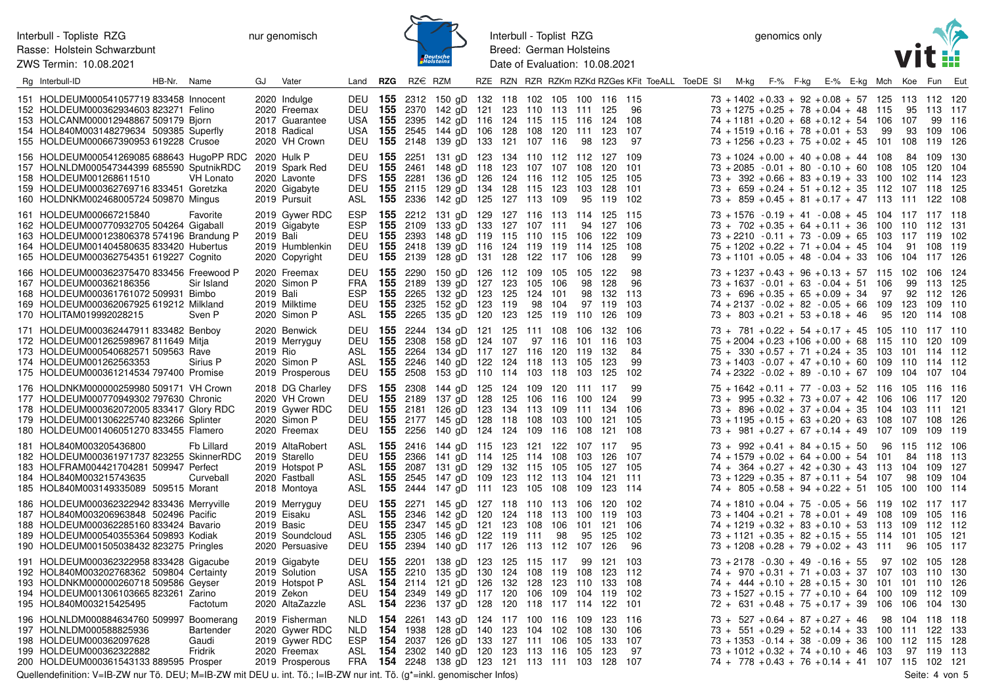ZWS Termin: 10.08.2021



Interbull - Toplist RZG Breed: German Holsteins Date of Evaluation: 10.08.2021

genomics only



| Rg Interbull-ID                                                                                                                                                                                                    | HB-Nr. Name |                               | GJ        | Vater                                                                                 | Land                                | <b>RZG</b>                    | RZ€ RZM                         |                                                                                                                                                                                                               |     |                                    |            |           |                                     | RZE RZN RZR RZKm RZKd RZGes KFit ToeALL ToeDE SI | M-kg                                                                                                                                                                                                                             | F-% F-kg |  | E-% E-kg Mch |                    | Koe Fun Eut                                         |                                      |                                   |
|--------------------------------------------------------------------------------------------------------------------------------------------------------------------------------------------------------------------|-------------|-------------------------------|-----------|---------------------------------------------------------------------------------------|-------------------------------------|-------------------------------|---------------------------------|---------------------------------------------------------------------------------------------------------------------------------------------------------------------------------------------------------------|-----|------------------------------------|------------|-----------|-------------------------------------|--------------------------------------------------|----------------------------------------------------------------------------------------------------------------------------------------------------------------------------------------------------------------------------------|----------|--|--------------|--------------------|-----------------------------------------------------|--------------------------------------|-----------------------------------|
| 151 HOLDEUM000541057719 833458 Innocent<br>152 HOLDEUM000362934603 823271 Felino<br>153 HOLCANM000012948867 509179 Bjorn<br>154 HOL840M003148279634 509385 Superfly<br>155 HOLDEUM000667390953 619228 Crusoe       |             |                               |           | 2020 Indulge<br>2020 Freemax<br>2017 Guarantee<br>2018 Radical<br>2020 VH Crown       | <b>DEU 155</b><br>USA<br>USA        |                               |                                 | DEU 155 2312 150 qD 132 118 102 105 100 116 115<br>2370 142 gD 121 123 110 113 111 125<br><b>155</b> 2395 142 gD 116<br><b>155</b> 2545 144 gD 106 128 108 120 111 123<br>DEU 155 2148 139 gD 133 121 107 116 |     | 124 115 115 116 124 108            |            | 98        | 123                                 | -96<br>107<br>97                                 | $73 + 1402 + 0.33 + 92 + 0.08 + 57$ 125 113 112 120<br>$73 + 1275 + 0.25 + 78 + 0.04 + 48$ 115<br>$74 + 1181 + 0.20 + 68 + 0.12 + 54$ 106<br>$74 + 1519 + 0.16 + 78 + 0.01 + 53$<br>$73 + 1256 + 0.23 + 75 + 0.02 + 45$ 101      |          |  |              | 99                 | 107<br>93<br>108                                    | 95 113 117<br>99<br>109<br>119       | 116<br>106<br>126                 |
| 156 HOLDEUM000541269085 688643 HugoPP RDC<br>157 HOLNLDM000547344399 685590 SputnikRDC<br>158 HOLDEUM001268611510<br>159 HOLDEUM000362769716 833451 Goretzka<br>160 HOLDNKM002468005724 509870 Mingus              |             | <b>VH Lonato</b>              |           | 2020 Hulk P<br>2019 Spark Red<br>2020 Lavonte<br>2020 Gigabyte<br>2019 Pursuit        | DEU<br>DEU<br>DFS.<br>DEU<br>ASL    | <b>155</b> 2251<br>155<br>155 | 2461                            | 131 gD 123 134 110 112 112 127 109<br>148 gD 118<br>2281 136 gD 126<br>155 2115 129 gD 134 128 115 123<br><b>155</b> 2336 142 gD 125 127 113 109                                                              |     | 123 107 107 108<br>124 116 112 105 |            | 103<br>95 | 120<br>125<br>128<br>119            | 101<br>-105<br>101<br>102                        | $73 + 1024 + 0.00 + 40 + 0.08 + 44$ 108<br>$73 + 2085 - 0.01 + 80 - 0.10 + 60$<br>$73 + 392 + 0.66 + 83 + 0.19 + 33$<br>$73 + 659 + 0.24 + 51 + 0.12 + 35$ 112<br>$73 + 859 + 0.45 + 81 + 0.17 + 47$ 113                         |          |  |              | 108<br>100         | 105<br>102<br>107 118<br>111 122                    | 84 109<br>120<br>-114                | 130<br>104<br>-123<br>-125<br>108 |
| 161 HOLDEUM000667215840<br>162 HOLDEUM000770932705 504264 Gigaball<br>163 HOLDEUM000123806378 574196 Brandung P<br>164 HOLDEUM001404580635 833420 Hubertus<br>165 HOLDEUM000362754351 619227 Cognito               |             | Favorite                      | 2019 Bali | 2019 Gywer RDC<br>2019 Gigabyte<br>2019 Humblenkin<br>2020 Copyright                  | <b>ESP</b><br>ESP<br>DEU<br>DEU     | 155                           | <b>155</b> 2393                 | <b>155</b> 2212 131 gD 129 127 116 113 114 125 115<br><b>155</b> 2109 133 gD 133 127 107 111<br>148 gD 119 115 110 115 106<br>2418 139 gD 116 124 119 119 114<br>DEU 155 2139 128 gD 131 128 122 117 106      |     |                                    |            | 94        | 127<br>122<br>125<br>128            | - 106<br>109<br>108<br>99                        | $73 + 1576 - 0.19 + 41 - 0.08 + 45$ 104 117 117 118<br>$73 + 702 + 0.35 + 64 + 0.11 + 36$ 100<br>$73 + 2210 - 0.11 + 73 - 0.09 + 65$<br>$75 + 1202 + 0.22 + 71 + 0.04 + 45$ 104<br>$73 + 1101 + 0.05 + 48 - 0.04 + 33$ 106       |          |  |              | 103                | 110 112 131<br>117 119<br>91<br>104 117 126         | 108                                  | -102<br>-119                      |
| 166 HOLDEUM000362375470 833456 Freewood P<br>167 HOLDEUM000362186356<br>168 HOLDEUM000361761072 509931 Bimbo<br>169 HOLDEUM000362067925 619212 Milkland<br>170 HOLITAM019992028215                                 |             | Sir Island<br>Sven P          | 2019 Bali | 2020 Freemax<br>2020 Simon P<br>2019 Milktime<br>2020 Simon P                         | FRA<br>ESP.<br>DEU<br>ASL           | 155                           | <b>155</b> 2189<br>2265         | DEU 155 2290 150 gD 126 112 109 105 105<br>139 gD 127 123 105 106<br>132 gD 123 125<br><b>155</b> 2325 152 gD 123<br><b>155</b> 2265 135 gD 120 123 125 119 110                                               | 119 | 124<br>98                          | 101<br>104 | 98<br>98  | 122<br>128<br>132<br>97 119<br>126  | 98<br>96<br>-113<br>103<br>109                   | $73 + 1237 + 0.43 + 96 + 0.13 + 57$ 115<br>$73 + 1637 - 0.01 + 63 - 0.04 + 51$ 106<br>$73 + 696 + 0.35 + 65 + 0.09 + 34$<br>$74 + 2137 - 0.02 + 82 - 0.05 + 66$<br>$73 + 803 + 0.21 + 53 + 0.18 + 46$                            |          |  |              | 97<br>109<br>95    | 102 106 124<br>92<br>123<br>120                     | 99 113<br>112 126<br>109<br>114 108  | - 125<br>110                      |
| 171 HOLDEUM000362447911 833482 Benboy<br>172 HOLDEUM001262598967 811649 Mitja<br>173 HOLDEUM000540682571 509563 Rave<br>174 HOLDEUM001262563353<br>175 HOLDEUM000361214534 797400 Promise                          |             | Sirius P                      | 2019 Rio  | 2020 Benwick<br>2019 Merryguy<br>2020 Simon P<br>2019 Prosperous                      | DEU<br>ASL<br>ASL.<br>DEU           | 155<br>155<br>155             | 2308<br>2264<br><b>155</b> 2508 | DEU 155 2244 134 gD 121 125 111 108 106 132 106<br>158 gD 124 107<br>134 gD 117 127 116 120 119<br>2246 140 gD 122 124 118 113 105<br>153 gD 110 114 103 118 103                                              |     |                                    | 97 116 101 |           | 116<br>132<br>123<br>125            | 103<br>84<br>99<br>102                           | $73 + 781 + 0.22 + 54 + 0.17 + 45$ 105 110 117 110<br>$75 + 2004 + 0.23 + 106 + 0.00 + 68$ 115<br>$75 + 330 + 0.57 + 71 + 0.24 + 35$<br>$73 + 1403 - 0.07 + 47 + 0.10 + 60$ 109<br>$74 + 2322 - 0.02 + 89 - 0.10 + 67$ 109       |          |  |              | -103               | 110 120<br>101<br>110 114 112<br>104                | 114 112<br>107 104                   | 109                               |
| 176 HOLDNKM000000259980 509171 VH Crown<br>177 HOLDEUM000770949302 797630 Chronic<br>178 HOLDEUM000362072005 833417 Glory RDC<br>179 HOLDEUM001306225740 823266 Splinter<br>180 HOLDEUM001406051270 833455 Flamero |             |                               |           | 2018 DG Charley<br>2020 VH Crown<br>2019 Gywer RDC<br>2020 Simon P<br>2020 Freemax    | <b>DFS</b><br><b>DEU 155</b><br>DEU |                               | DEU 155 2189                    | <b>155</b> 2308 144 gD 125 124 109 120 111 117<br>137 gD 128 125 106 116 100<br>2181 126 gD 123 134 113 109 111 134 106<br><b>155</b> 2177 145 gD 128 118 108 103<br>DEU 155 2256 140 gD 124 124 109 116 108  |     |                                    |            | 100       | 124<br>121<br>121                   | 99<br>99<br>105<br>108                           | $75 + 1642 + 0.11 + 77 - 0.03 + 52$ 116<br>$73 + 995 + 0.32 + 73 + 0.07 + 42$ 106<br>$73 + 896 + 0.02 + 37 + 0.04 + 35$<br>$73 + 1195 + 0.15 + 63 + 0.20 + 63$ 108<br>$73 + 981 + 0.27 + 67 + 0.14 + 49$ 107                     |          |  |              | 104                | 105 116 116<br>106 117 120<br>103<br>107 108<br>109 | 111 121<br>109                       | 126<br>119                        |
| 181 HOL840M003205436800<br>182 HOLDEUM000361971737 823255 SkinnerRDC<br>183 HOLFRAM004421704281 509947 Perfect<br>184 HOL840M003215743635<br>185 HOL840M003149335089 509515 Morant                                 |             | Fb Lillard<br>Curveball       |           | 2019 AltaRobert<br>2019 Starello<br>2019 Hotspot P<br>2020 Fastball<br>2018 Montoya   | ASL<br>DEU<br>ASL<br>ASL<br>ASL     | 155<br>155                    |                                 | <b>155</b> 2416 144 gD 115 123 121 122 107 117<br>2366 141 gD 114 125 114 108<br><b>155</b> 2087 131 gD 129 132 115 105 105<br>2545 147 gD 109 123 112 113 104<br><b>155</b> 2444 147 gD 111 123 105 108 109  |     |                                    |            | 103       | 126<br>127<br>121 111<br>123 114    | -95<br>107<br>105                                | $73 + 992 + 0.41 + 84 + 0.15 + 50$<br>$74 + 1579 + 0.02 + 64 + 0.00 + 54$ 101<br>$74 + 364 + 0.27 + 42 + 0.30 + 43$<br>$73 + 1229 + 0.35 + 87 + 0.11 + 54$<br>$74 + 805 + 0.58 + 94 + 0.22 + 51$ 105                             |          |  |              | 96<br>- 113<br>107 | 115 112 106<br>104<br>98<br>100                     | 84 118 113<br>109<br>109<br>100      | -127<br>-104<br>-114              |
| 186 HOLDEUM000362322942 833436 Merryville<br>187 HOL840M003206963848 502496 Pacific<br>188 HOLDEUM000362285160 833424 Bavario<br>189 HOLDEUM000540355364 509893 Kodiak<br>190 HOLDEUM001505038432 823275 Pringles  |             |                               |           | 2019 Merryguy<br>2019 Eisaku<br>2019 Basic<br>2019 Soundcloud<br>2020 Persuasive      | DEU<br>ASL<br>DEU<br>ASL<br>DEU     | 155<br>155<br>155             |                                 | <b>155</b> 2271 145 gD 127 118 110 113 106<br>2346 142 gD 120 124 118 113 100<br>2347 145 gD 121 123 108 106<br>2305 146 gD 122 119 111<br><b>155</b> 2394 140 gD 117 126 113 112 107                         |     |                                    | 98         | 101<br>95 | 120<br>119<br>121 106<br>125<br>126 | 102<br>103<br>102<br>96                          | $74 + 1810 + 0.04 + 75 - 0.05 + 56$ 119<br>$73 + 1404 + 0.21 + 78 + 0.01 + 49$ 108<br>$74 + 1219 + 0.32 + 83 + 0.10 + 53$ 113<br>$73 + 1121 + 0.35 + 82 + 0.15 + 55$ 114<br>$73 + 1208 + 0.28 + 79 + 0.02 + 43$ 111              |          |  |              |                    | 102 117 117<br>109<br>109<br>101<br>96              | 105 116<br>112 112<br>105<br>105 117 | - 121                             |
| 191 HOLDEUM000362322958 833428 Gigacube<br>192 HOL840M003202768362 509804 Certainty<br>193 HOLDNKM000000260718 509586 Geyser<br>194 HOLDEUM001306103665 823261 Zarino<br>195 HOL840M003215425495                   |             | Factotum                      |           | 2019 Gigabyte<br>2019 Solution<br>2019 Hotspot P<br>2019 Zekon<br>2020 AltaZazzle     | USA <b>155</b><br>ASL<br>DEU<br>ASL | DEU 155<br>154<br>154         |                                 | 2201 138 gD 123 125 115 117 99 121 103<br>2210 135 gD 130 124 108 119 108<br><b>154</b> 2114 121 gD 126 132 128<br>2349 149 gD 117 120 106 109 104 119<br>2236 137 gD 128 120 118 117 114 122                 |     |                                    | 123 110    |           | 123 112<br>133                      | 108<br>102<br>101                                | $73 + 2178 - 0.30 + 49 - 0.16 + 55$ 97 102 105 128<br>$74 + 970 + 0.31 + 71 + 0.03 + 37$ 107<br>$74 + 444 + 0.10 + 28 + 0.15 + 30$ 101<br>$73 + 1527 + 0.15 + 77 + 0.10 + 64$ 100<br>$72 + 631 + 0.48 + 75 + 0.17 + 39$ 106      |          |  |              |                    | 103 110<br>101 110<br>109<br>106                    | 112<br>104                           | 130<br>126<br>109<br>130          |
| 196 HOLNLDM000884634760 509997 Boomerang<br>197 HOLNLDM000588825936<br>198 HOLDEUM000362097628<br>199 HOLDEUM000362322882<br>200 HOLDEUM000361543133 889595 Prosper                                                |             | Bartender<br>Gaudi<br>Fridrik |           | 2019 Fisherman<br>2020 Gywer RDC<br>2019 Gywer RDC<br>2020 Freemax<br>2019 Prosperous | NLD.<br>NLD.<br>ESP<br>ASL          | 154<br>154<br>154<br>154      | 2261<br>1938<br>2037            | 143 gD 124 117 100 116 109<br>128 gD 140<br>126 gD 133 127 111 106 105<br>2302 140 gD 120 123 113 116 105<br>FRA 154 2248 138 gD 123 121 113 111 103 128 107                                                  |     | 123 104 102 108                    |            |           | 123 116<br>130<br>133<br>123        | -106<br>107<br>97                                | $73 + 527 + 0.64 + 87 + 0.27 + 46$<br>$73 + 551 + 0.29 + 52 + 0.14 + 33$ 100<br>$73 + 1353 - 0.14 + 38 - 0.09 + 36$ 100 112 115<br>$73 + 1012 + 0.32 + 74 + 0.10 + 46$ 103<br>$74 + 778 + 0.43 + 76 + 0.14 + 41$ 107 115 102 121 |          |  |              | 98                 | 104 118 118<br>111 122<br>97 119                    |                                      | 133<br>128<br>-113                |